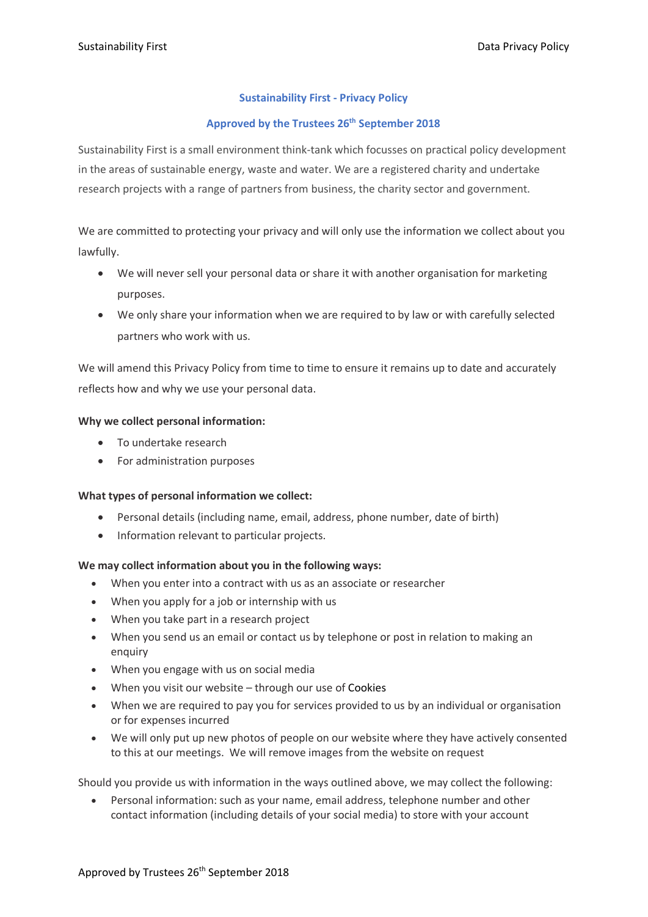# **Sustainability First - Privacy Policy**

# **Approved by the Trustees 26th September 2018**

Sustainability First is a small environment think-tank which focusses on practical policy development in the areas of sustainable energy, waste and water. We are a registered charity and undertake research projects with a range of partners from business, the charity sector and government.

We are committed to protecting your privacy and will only use the information we collect about you lawfully.

- We will never sell your personal data or share it with another organisation for marketing purposes.
- We only share your information when we are required to by law or with carefully selected partners who work with us.

We will amend this Privacy Policy from time to time to ensure it remains up to date and accurately reflects how and why we use your personal data.

### **Why we collect personal information:**

- To undertake research
- For administration purposes

# **What types of personal information we collect:**

- Personal details (including name, email, address, phone number, date of birth)
- Information relevant to particular projects.

# **We may collect information about you in the following ways:**

- When you enter into a contract with us as an associate or researcher
- When you apply for a job or internship with us
- When you take part in a research project
- When you send us an email or contact us by telephone or post in relation to making an enquiry
- When you engage with us on social media
- When you visit our website through our use of Cookies
- When we are required to pay you for services provided to us by an individual or organisation or for expenses incurred
- We will only put up new photos of people on our website where they have actively consented to this at our meetings. We will remove images from the website on request

Should you provide us with information in the ways outlined above, we may collect the following:

• Personal information: such as your name, email address, telephone number and other contact information (including details of your social media) to store with your account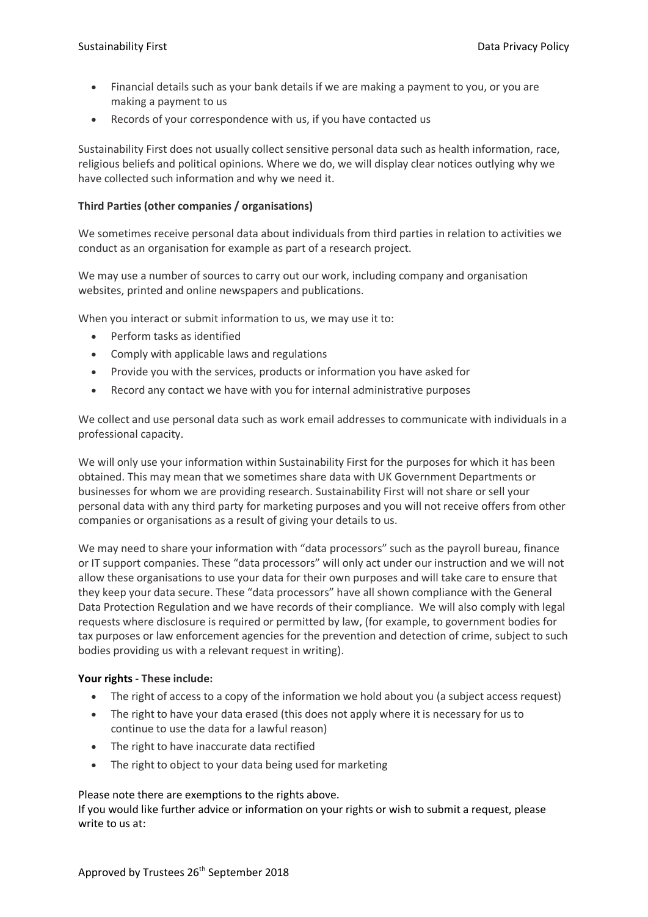- Financial details such as your bank details if we are making a payment to you, or you are making a payment to us
- Records of your correspondence with us, if you have contacted us

Sustainability First does not usually collect sensitive personal data such as health information, race, religious beliefs and political opinions. Where we do, we will display clear notices outlying why we have collected such information and why we need it.

### **Third Parties (other companies / organisations)**

We sometimes receive personal data about individuals from third parties in relation to activities we conduct as an organisation for example as part of a research project.

We may use a number of sources to carry out our work, including company and organisation websites, printed and online newspapers and publications.

When you interact or submit information to us, we may use it to:

- Perform tasks as identified
- Comply with applicable laws and regulations
- Provide you with the services, products or information you have asked for
- Record any contact we have with you for internal administrative purposes

We collect and use personal data such as work email addresses to communicate with individuals in a professional capacity.

We will only use your information within Sustainability First for the purposes for which it has been obtained. This may mean that we sometimes share data with UK Government Departments or businesses for whom we are providing research. Sustainability First will not share or sell your personal data with any third party for marketing purposes and you will not receive offers from other companies or organisations as a result of giving your details to us.

We may need to share your information with "data processors" such as the payroll bureau, finance or IT support companies. These "data processors" will only act under our instruction and we will not allow these organisations to use your data for their own purposes and will take care to ensure that they keep your data secure. These "data processors" have all shown compliance with the General Data Protection Regulation and we have records of their compliance. We will also comply with legal requests where disclosure is required or permitted by law, (for example, to government bodies for tax purposes or law enforcement agencies for the prevention and detection of crime, subject to such bodies providing us with a relevant request in writing).

### **Your rights** - **These include:**

- The right of access to a copy of the information we hold about you (a subject access request)
- The right to have your data erased (this does not apply where it is necessary for us to continue to use the data for a lawful reason)
- The right to have inaccurate data rectified
- The right to object to your data being used for marketing

### Please note there are exemptions to the rights above.

If you would like further advice or information on your rights or wish to submit a request, please write to us at: